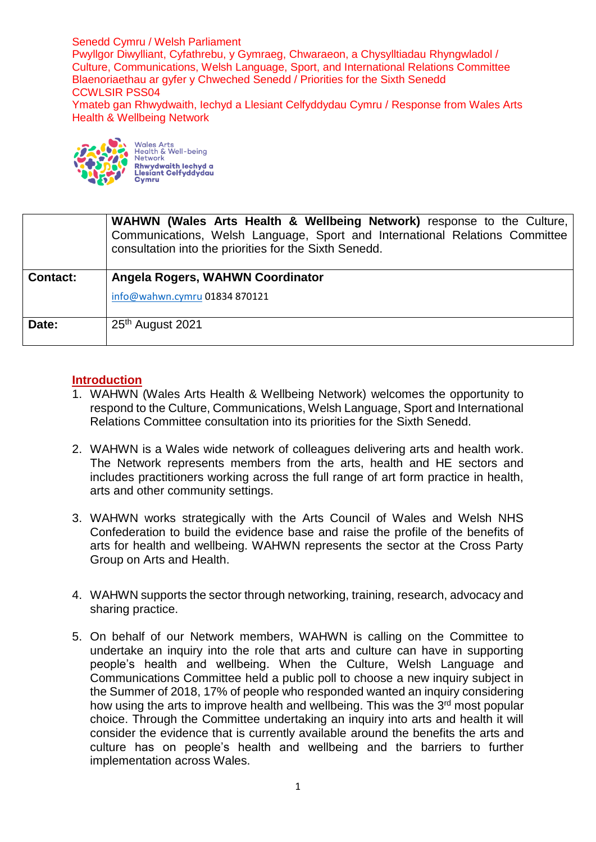Senedd Cymru / Welsh Parliament Pwyllgor Diwylliant, Cyfathrebu, y Gymraeg, Chwaraeon, a Chysylltiadau Rhyngwladol / Culture, Communications, Welsh Language, Sport, and International Relations Committee Blaenoriaethau ar gyfer y Chweched Senedd / Priorities for the Sixth Senedd CCWLSIR PSS04 Ymateb gan Rhwydwaith, Iechyd a Llesiant Celfyddydau Cymru / Response from Wales Arts Health & Wellbeing Network



Wales Arts<br>Health & Well-being<br>Network Network<br><mark>Rhwydwaith lechyd a</mark><br>Llesiant Celfyddydau

|                 | <b>WAHWN (Wales Arts Health &amp; Wellbeing Network)</b> response to the Culture,<br>Communications, Welsh Language, Sport and International Relations Committee<br>consultation into the priorities for the Sixth Senedd. |
|-----------------|----------------------------------------------------------------------------------------------------------------------------------------------------------------------------------------------------------------------------|
| <b>Contact:</b> | Angela Rogers, WAHWN Coordinator                                                                                                                                                                                           |
|                 | info@wahwn.cymru 01834 870121                                                                                                                                                                                              |
| Date:           | 25 <sup>th</sup> August 2021                                                                                                                                                                                               |

## **Introduction**

- 1. WAHWN (Wales Arts Health & Wellbeing Network) welcomes the opportunity to respond to the Culture, Communications, Welsh Language, Sport and International Relations Committee consultation into its priorities for the Sixth Senedd.
- 2. WAHWN is a Wales wide network of colleagues delivering arts and health work. The Network represents members from the arts, health and HE sectors and includes practitioners working across the full range of art form practice in health, arts and other community settings.
- 3. WAHWN works strategically with the Arts Council of Wales and Welsh NHS Confederation to build the evidence base and raise the profile of the benefits of arts for health and wellbeing. WAHWN represents the sector at the Cross Party Group on Arts and Health.
- 4. WAHWN supports the sector through networking, training, research, advocacy and sharing practice.
- 5. On behalf of our Network members, WAHWN is calling on the Committee to undertake an inquiry into the role that arts and culture can have in supporting people's health and wellbeing. When the Culture, Welsh Language and Communications Committee held a public poll to choose a new inquiry subject in the Summer of 2018, 17% of people who responded wanted an inquiry considering how using the arts to improve health and wellbeing. This was the 3<sup>rd</sup> most popular choice. Through the Committee undertaking an inquiry into arts and health it will consider the evidence that is currently available around the benefits the arts and culture has on people's health and wellbeing and the barriers to further implementation across Wales.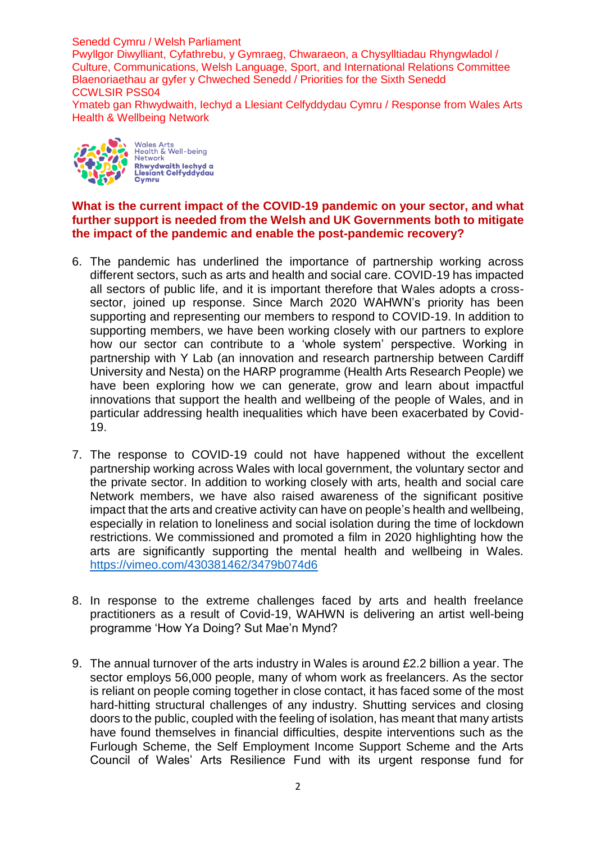Senedd Cymru / Welsh Parliament

Pwyllgor Diwylliant, Cyfathrebu, y Gymraeg, Chwaraeon, a Chysylltiadau Rhyngwladol / Culture, Communications, Welsh Language, Sport, and International Relations Committee Blaenoriaethau ar gyfer y Chweched Senedd / Priorities for the Sixth Senedd CCWLSIR PSS04

Ymateb gan Rhwydwaith, Iechyd a Llesiant Celfyddydau Cymru / Response from Wales Arts Health & Wellbeing Network



Wales Arts<br>Health & Well-being<br>Network Network<br>**Rhwydwaith lechyd a**<br>Llesiant Celfyddydau **Cymru** 

## **What is the current impact of the COVID-19 pandemic on your sector, and what further support is needed from the Welsh and UK Governments both to mitigate the impact of the pandemic and enable the post-pandemic recovery?**

- 6. The pandemic has underlined the importance of partnership working across different sectors, such as arts and health and social care. COVID-19 has impacted all sectors of public life, and it is important therefore that Wales adopts a crosssector, joined up response. Since March 2020 WAHWN's priority has been supporting and representing our members to respond to COVID-19. In addition to supporting members, we have been working closely with our partners to explore how our sector can contribute to a 'whole system' perspective. Working in partnership with Y Lab (an innovation and research partnership between Cardiff University and Nesta) on the HARP programme (Health Arts Research People) we have been exploring how we can generate, grow and learn about impactful innovations that support the health and wellbeing of the people of Wales, and in particular addressing health inequalities which have been exacerbated by Covid-19.
- 7. The response to COVID-19 could not have happened without the excellent partnership working across Wales with local government, the voluntary sector and the private sector. In addition to working closely with arts, health and social care Network members, we have also raised awareness of the significant positive impact that the arts and creative activity can have on people's health and wellbeing, especially in relation to loneliness and social isolation during the time of lockdown restrictions. We commissioned and promoted a film in 2020 highlighting how the arts are significantly supporting the mental health and wellbeing in Wales. <https://vimeo.com/430381462/3479b074d6>
- 8. In response to the extreme challenges faced by arts and health freelance practitioners as a result of Covid-19, WAHWN is delivering an artist well-being programme 'How Ya Doing? Sut Mae'n Mynd?
- 9. The annual turnover of the arts industry in Wales is around £2.2 billion a year. The sector employs 56,000 people, many of whom work as freelancers. As the sector is reliant on people coming together in close contact, it has faced some of the most hard-hitting structural challenges of any industry. Shutting services and closing doors to the public, coupled with the feeling of isolation, has meant that many artists have found themselves in financial difficulties, despite interventions such as the Furlough Scheme, the Self Employment Income Support Scheme and the Arts Council of Wales' Arts Resilience Fund with its urgent response fund for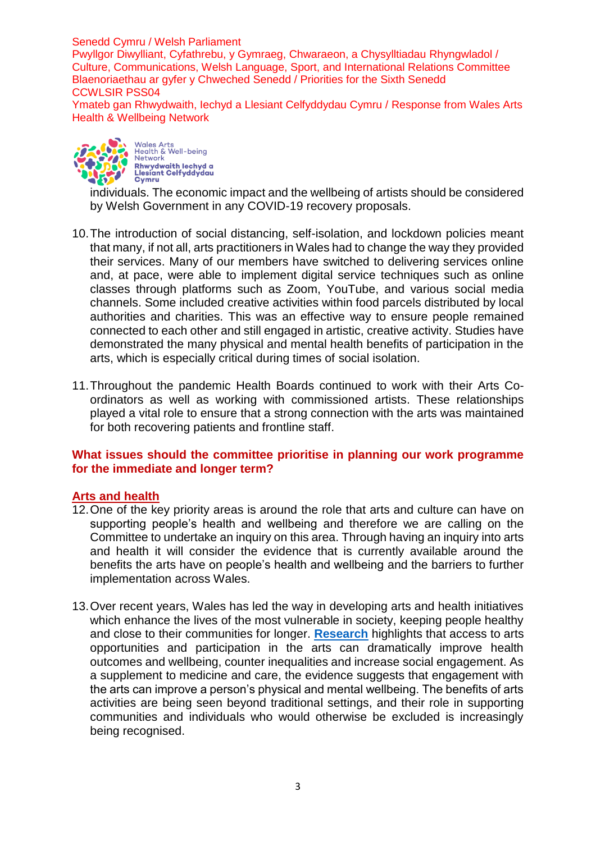Senedd Cymru / Welsh Parliament

Pwyllgor Diwylliant, Cyfathrebu, y Gymraeg, Chwaraeon, a Chysylltiadau Rhyngwladol / Culture, Communications, Welsh Language, Sport, and International Relations Committee Blaenoriaethau ar gyfer y Chweched Senedd / Priorities for the Sixth Senedd CCWLSIR PSS04

Ymateb gan Rhwydwaith, Iechyd a Llesiant Celfyddydau Cymru / Response from Wales Arts Health & Wellbeing Network



individuals. The economic impact and the wellbeing of artists should be considered by Welsh Government in any COVID-19 recovery proposals.

- 10.The introduction of social distancing, self-isolation, and lockdown policies meant that many, if not all, arts practitioners in Wales had to change the way they provided their services. Many of our members have switched to delivering services online and, at pace, were able to implement digital service techniques such as online classes through platforms such as Zoom, YouTube, and various social media channels. Some included creative activities within food parcels distributed by local authorities and charities. This was an effective way to ensure people remained connected to each other and still engaged in artistic, creative activity. Studies have demonstrated the many physical and mental health benefits of participation in the arts, which is especially critical during times of social isolation.
- 11.Throughout the pandemic Health Boards continued to work with their Arts Coordinators as well as working with commissioned artists. These relationships played a vital role to ensure that a strong connection with the arts was maintained for both recovering patients and frontline staff.

## **What issues should the committee prioritise in planning our work programme for the immediate and longer term?**

## **Arts and health**

- 12.One of the key priority areas is around the role that arts and culture can have on supporting people's health and wellbeing and therefore we are calling on the Committee to undertake an inquiry on this area. Through having an inquiry into arts and health it will consider the evidence that is currently available around the benefits the arts have on people's health and wellbeing and the barriers to further implementation across Wales.
- 13.Over recent years, Wales has led the way in developing arts and health initiatives which enhance the lives of the most vulnerable in society, keeping people healthy and close to their communities for longer. **[Research](https://www.nhsconfed.org/sites/default/files/media/Arts-health-and-wellbeing_0.pdf)** highlights that access to arts opportunities and participation in the arts can dramatically improve health outcomes and wellbeing, counter inequalities and increase social engagement. As a supplement to medicine and care, the evidence suggests that engagement with the arts can improve a person's physical and mental wellbeing. The benefits of arts activities are being seen beyond traditional settings, and their role in supporting communities and individuals who would otherwise be excluded is increasingly being recognised.